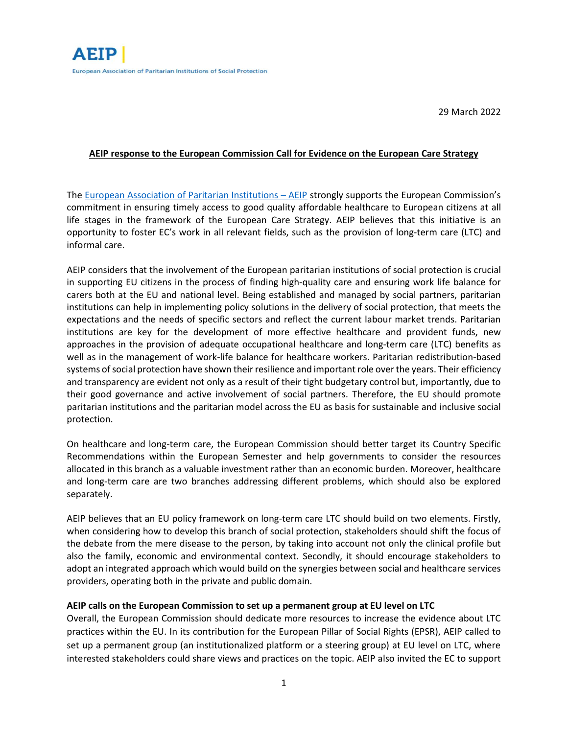### **AEIP response to the European Commission Call for Evidence on the European Care Strategy**

The [European Association of Paritarian Institutions](https://aeip.net/wp-content/uploads/AEIP-submitted-contribution.pdf) – AEIP strongly supports the European Commission's commitment in ensuring timely access to good quality affordable healthcare to European citizens at all life stages in the framework of the European Care Strategy. AEIP believes that this initiative is an opportunity to foster EC's work in all relevant fields, such as the provision of long-term care (LTC) and informal care.

AEIP considers that the involvement of the European paritarian institutions of social protection is crucial in supporting EU citizens in the process of finding high-quality care and ensuring work life balance for carers both at the EU and national level. Being established and managed by social partners, paritarian institutions can help in implementing policy solutions in the delivery of social protection, that meets the expectations and the needs of specific sectors and reflect the current labour market trends. Paritarian institutions are key for the development of more effective healthcare and provident funds, new approaches in the provision of adequate occupational healthcare and long-term care (LTC) benefits as well as in the management of work-life balance for healthcare workers. Paritarian redistribution-based systems of social protection have shown their resilience and important role over the years. Their efficiency and transparency are evident not only as a result of their tight budgetary control but, importantly, due to their good governance and active involvement of social partners. Therefore, the EU should promote paritarian institutions and the paritarian model across the EU as basis for sustainable and inclusive social protection.

On healthcare and long-term care, the European Commission should better target its Country Specific Recommendations within the European Semester and help governments to consider the resources allocated in this branch as a valuable investment rather than an economic burden. Moreover, healthcare and long-term care are two branches addressing different problems, which should also be explored separately.

AEIP believes that an EU policy framework on long-term care LTC should build on two elements. Firstly, when considering how to develop this branch of social protection, stakeholders should shift the focus of the debate from the mere disease to the person, by taking into account not only the clinical profile but also the family, economic and environmental context. Secondly, it should encourage stakeholders to adopt an integrated approach which would build on the synergies between social and healthcare services providers, operating both in the private and public domain.

# **AEIP calls on the European Commission to set up a permanent group at EU level on LTC**

Overall, the European Commission should dedicate more resources to increase the evidence about LTC practices within the EU. In its contribution for the European Pillar of Social Rights (EPSR), AEIP called to set up a permanent group (an institutionalized platform or a steering group) at EU level on LTC, where interested stakeholders could share views and practices on the topic. AEIP also invited the EC to support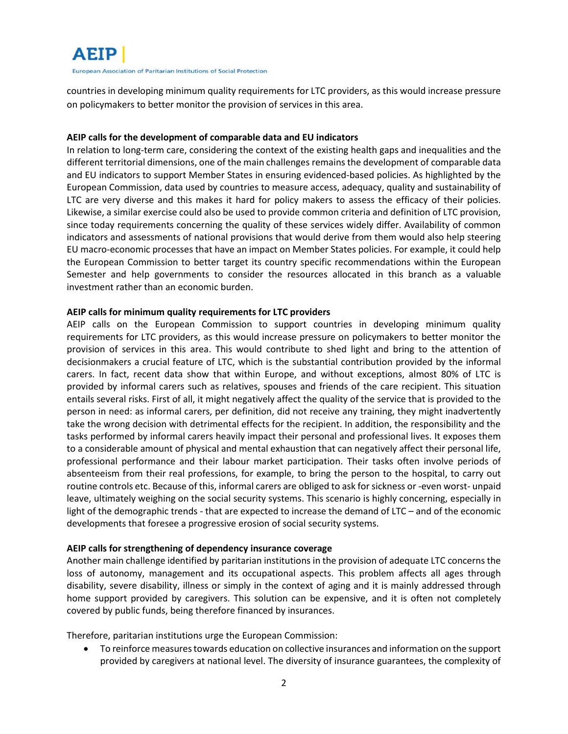

countries in developing minimum quality requirements for LTC providers, as this would increase pressure on policymakers to better monitor the provision of services in this area.

### **AEIP calls for the development of comparable data and EU indicators**

In relation to long-term care, considering the context of the existing health gaps and inequalities and the different territorial dimensions, one of the main challenges remains the development of comparable data and EU indicators to support Member States in ensuring evidenced-based policies. As highlighted by the European Commission, data used by countries to measure access, adequacy, quality and sustainability of LTC are very diverse and this makes it hard for policy makers to assess the efficacy of their policies. Likewise, a similar exercise could also be used to provide common criteria and definition of LTC provision, since today requirements concerning the quality of these services widely differ. Availability of common indicators and assessments of national provisions that would derive from them would also help steering EU macro-economic processes that have an impact on Member States policies. For example, it could help the European Commission to better target its country specific recommendations within the European Semester and help governments to consider the resources allocated in this branch as a valuable investment rather than an economic burden.

### **AEIP calls for minimum quality requirements for LTC providers**

AEIP calls on the European Commission to support countries in developing minimum quality requirements for LTC providers, as this would increase pressure on policymakers to better monitor the provision of services in this area. This would contribute to shed light and bring to the attention of decisionmakers a crucial feature of LTC, which is the substantial contribution provided by the informal carers. In fact, recent data show that within Europe, and without exceptions, almost 80% of LTC is provided by informal carers such as relatives, spouses and friends of the care recipient. This situation entails several risks. First of all, it might negatively affect the quality of the service that is provided to the person in need: as informal carers, per definition, did not receive any training, they might inadvertently take the wrong decision with detrimental effects for the recipient. In addition, the responsibility and the tasks performed by informal carers heavily impact their personal and professional lives. It exposes them to a considerable amount of physical and mental exhaustion that can negatively affect their personal life, professional performance and their labour market participation. Their tasks often involve periods of absenteeism from their real professions, for example, to bring the person to the hospital, to carry out routine controls etc. Because of this, informal carers are obliged to ask for sickness or -even worst- unpaid leave, ultimately weighing on the social security systems. This scenario is highly concerning, especially in light of the demographic trends - that are expected to increase the demand of LTC – and of the economic developments that foresee a progressive erosion of social security systems.

# **AEIP calls for strengthening of dependency insurance coverage**

Another main challenge identified by paritarian institutions in the provision of adequate LTC concerns the loss of autonomy, management and its occupational aspects. This problem affects all ages through disability, severe disability, illness or simply in the context of aging and it is mainly addressed through home support provided by caregivers. This solution can be expensive, and it is often not completely covered by public funds, being therefore financed by insurances.

Therefore, paritarian institutions urge the European Commission:

• To reinforce measures towards education on collective insurances and information on the support provided by caregivers at national level. The diversity of insurance guarantees, the complexity of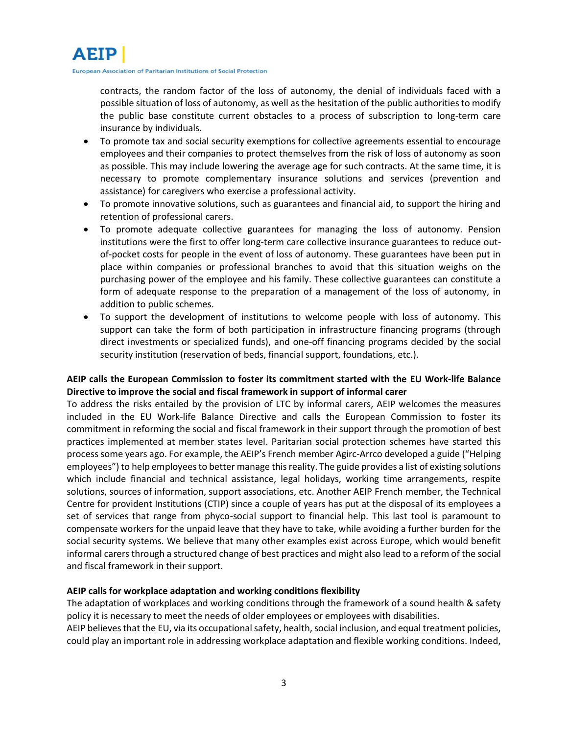

contracts, the random factor of the loss of autonomy, the denial of individuals faced with a possible situation of loss of autonomy, as well as the hesitation of the public authorities to modify the public base constitute current obstacles to a process of subscription to long-term care insurance by individuals.

- To promote tax and social security exemptions for collective agreements essential to encourage employees and their companies to protect themselves from the risk of loss of autonomy as soon as possible. This may include lowering the average age for such contracts. At the same time, it is necessary to promote complementary insurance solutions and services (prevention and assistance) for caregivers who exercise a professional activity.
- To promote innovative solutions, such as guarantees and financial aid, to support the hiring and retention of professional carers.
- To promote adequate collective guarantees for managing the loss of autonomy. Pension institutions were the first to offer long-term care collective insurance guarantees to reduce outof-pocket costs for people in the event of loss of autonomy. These guarantees have been put in place within companies or professional branches to avoid that this situation weighs on the purchasing power of the employee and his family. These collective guarantees can constitute a form of adequate response to the preparation of a management of the loss of autonomy, in addition to public schemes.
- To support the development of institutions to welcome people with loss of autonomy. This support can take the form of both participation in infrastructure financing programs (through direct investments or specialized funds), and one-off financing programs decided by the social security institution (reservation of beds, financial support, foundations, etc.).

# **AEIP calls the European Commission to foster its commitment started with the EU Work-life Balance Directive to improve the social and fiscal framework in support of informal carer**

To address the risks entailed by the provision of LTC by informal carers, AEIP welcomes the measures included in the EU Work-life Balance Directive and calls the European Commission to foster its commitment in reforming the social and fiscal framework in their support through the promotion of best practices implemented at member states level. Paritarian social protection schemes have started this process some years ago. For example, the AEIP's French member Agirc-Arrco developed a guide ("Helping employees") to help employees to better manage this reality. The guide provides a list of existing solutions which include financial and technical assistance, legal holidays, working time arrangements, respite solutions, sources of information, support associations, etc. Another AEIP French member, the Technical Centre for provident Institutions (CTIP) since a couple of years has put at the disposal of its employees a set of services that range from phyco-social support to financial help. This last tool is paramount to compensate workers for the unpaid leave that they have to take, while avoiding a further burden for the social security systems. We believe that many other examples exist across Europe, which would benefit informal carers through a structured change of best practices and might also lead to a reform of the social and fiscal framework in their support.

# **AEIP calls for workplace adaptation and working conditions flexibility**

The adaptation of workplaces and working conditions through the framework of a sound health & safety policy it is necessary to meet the needs of older employees or employees with disabilities. AEIP believes that the EU, via its occupational safety, health, social inclusion, and equal treatment policies, could play an important role in addressing workplace adaptation and flexible working conditions. Indeed,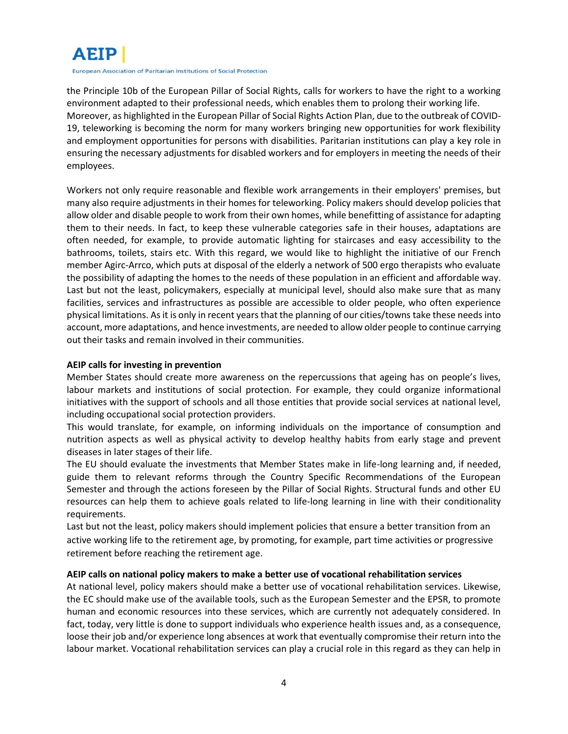

the Principle 10b of the European Pillar of Social Rights, calls for workers to have the right to a working environment adapted to their professional needs, which enables them to prolong their working life. Moreover, as highlighted in the European Pillar of Social Rights Action Plan, due to the outbreak of COVID-19, teleworking is becoming the norm for many workers bringing new opportunities for work flexibility and employment opportunities for persons with disabilities. Paritarian institutions can play a key role in ensuring the necessary adjustments for disabled workers and for employers in meeting the needs of their employees.

Workers not only require reasonable and flexible work arrangements in their employers' premises, but many also require adjustments in their homes for teleworking. Policy makers should develop policies that allow older and disable people to work from their own homes, while benefitting of assistance for adapting them to their needs. In fact, to keep these vulnerable categories safe in their houses, adaptations are often needed, for example, to provide automatic lighting for staircases and easy accessibility to the bathrooms, toilets, stairs etc. With this regard, we would like to highlight the initiative of our French member Agirc-Arrco, which puts at disposal of the elderly a network of 500 ergo therapists who evaluate the possibility of adapting the homes to the needs of these population in an efficient and affordable way. Last but not the least, policymakers, especially at municipal level, should also make sure that as many facilities, services and infrastructures as possible are accessible to older people, who often experience physical limitations. As it is only in recent years that the planning of our cities/towns take these needs into account, more adaptations, and hence investments, are needed to allow older people to continue carrying out their tasks and remain involved in their communities.

### **AEIP calls for investing in prevention**

Member States should create more awareness on the repercussions that ageing has on people's lives, labour markets and institutions of social protection. For example, they could organize informational initiatives with the support of schools and all those entities that provide social services at national level, including occupational social protection providers.

This would translate, for example, on informing individuals on the importance of consumption and nutrition aspects as well as physical activity to develop healthy habits from early stage and prevent diseases in later stages of their life.

The EU should evaluate the investments that Member States make in life-long learning and, if needed, guide them to relevant reforms through the Country Specific Recommendations of the European Semester and through the actions foreseen by the Pillar of Social Rights. Structural funds and other EU resources can help them to achieve goals related to life-long learning in line with their conditionality requirements.

Last but not the least, policy makers should implement policies that ensure a better transition from an active working life to the retirement age, by promoting, for example, part time activities or progressive retirement before reaching the retirement age.

# **AEIP calls on national policy makers to make a better use of vocational rehabilitation services**

At national level, policy makers should make a better use of vocational rehabilitation services. Likewise, the EC should make use of the available tools, such as the European Semester and the EPSR, to promote human and economic resources into these services, which are currently not adequately considered. In fact, today, very little is done to support individuals who experience health issues and, as a consequence, loose their job and/or experience long absences at work that eventually compromise their return into the labour market. Vocational rehabilitation services can play a crucial role in this regard as they can help in